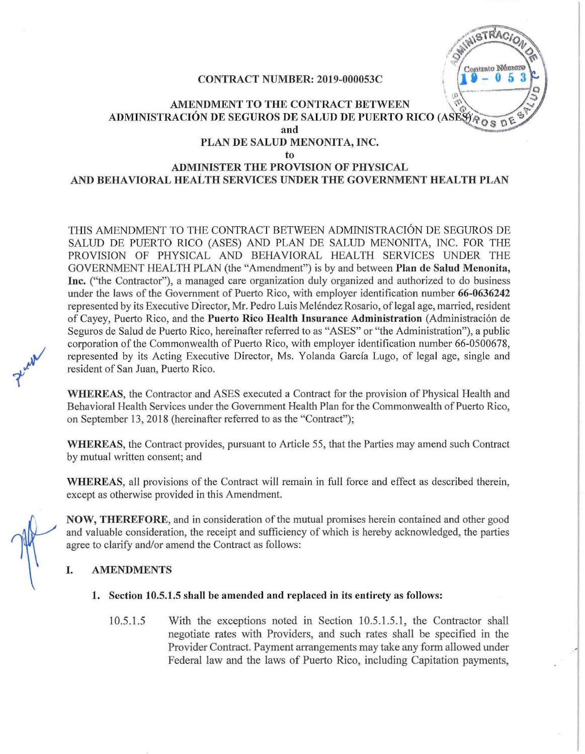# **NISTRACIO** Contrato Número  $\begin{array}{c}\n\circ \\
\downarrow \\
\downarrow \\
\downarrow\n\end{array}$

# CONTRACT NUMBER: 2019-000053C <sup>I</sup>

# AMENDMENT TO THE CONTRACT BETWEEN  $\mathbb{C}^{\mathfrak{N}}$ ADMINISTRACION DE SEGUROS DE SALUD DE PUERTO RICO (ASE and PLAN DE SALUD MENONITA, INC. to ADMINISTER THE PROVISION OF PHYSICAL

# AND BEHAVIORAL HEALTH SERVICES UNDER THE GOVERNMENT HEALTH PLAN

THIS AMENDMENT TO THE CONTRACT BETWEEN ADMINISTRACIÓN DE SEGUROS DE SALUD DE PUERTO RICO (ASES) AND PLAN DE SALUD MENONITA, INC, FOR THE PROVISION OF PHYSICAL AND BEHAVIORAL HEALTH SERVICES UNDER THE GOVERNMENT HEALTH PLAN (the "Amendment") is by and between Plan de Salud Menonita, Inc. ("the Contractor"), a managed care organization duly organized and authorized to do business under the laws of the Government of Puerto Rico, with employer identification number 66-0636242 represented by its Executive D'irector, Mr, Pedro Luis Melendez Rosario, oflegal age, married, resident of Cayey, Puerto Rico, and the Puerto Rico Health Insurance Administration (Administración de Seguros de Salud de Puerto Rico, hereinafter referred to as "ASES" or "the Administration"), a public corporation ofthe Commonwealth of Puerto Rico, with employer identification number 66-0500678, represented by its Acting Executive Director, Ms. Yolanda Garcia Lugo, of legal age, single and resident of San Juan, Puerto Rico,

WHEREAS, the Contractor and ASES executed a Contract for the provision of Physical Health and Behavioral Health Services under the Government Health Plan for the Commonwealth of Puerto Rico, on September 13, 2018 (hereinafter referred to as the "Contract");

WHEREAS, the Contract provides, pursuant to Article 55, that the Parties may amend such Contract by mutual written consent; and

WHEREAS, all provisions of the Contract will remain in full force and effect as described therein, except as otherwise provided in this Amendment.

NOW, THEREFORE, and in consideration of the mutual promises herein contained and other good and valuable consideration, the receipt and sufficiency of which is hereby acknowledged, the parties agree to clarify and/or amend the Contract as follows:

## I. AMENDMENTS

#### 1. Section 10.5.1.5 shall be amended and replaced in its entirety as follows:

IO.5.U With the exceptions noted in Section 10,5,1.5,1, the Contractor shall negotiate rates with Providers, and such rates shall be specified in the Provider Contract. Payment arrangements may take any form allowed under Federal law and the laws of Puerto Rico, including Capitation payments,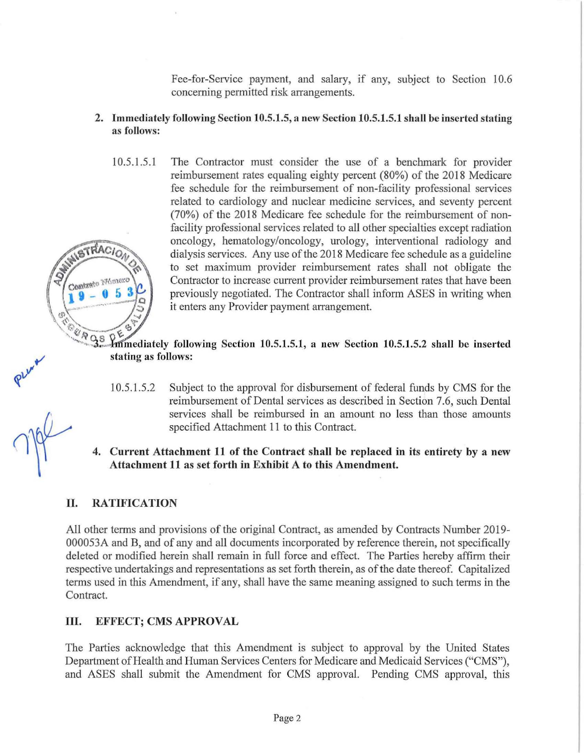Fee-for-Service payment, and salary, if any, subject to Section 10.6 concerning permitted risk arrangements.

- 2. Immediately following Section 10.5.1.5, a new Section 10.5.1.5.1 shall be inserted stating as follows:
- 10.5.1.5.1 The Contractor must consider the use of a benchmark for provider reimbursement rates equaling eighty percent (80%) of the 2018 Medicare fee schedule for the reimbursement of non-facility professional services related to cardiology and nuclear medicine services, and seventy percent (70%) of the 2018 Medicare fee schedule for the reimbursement of nonfacility professional services related to all other specialties except radiation oncology, hematology/oncology, urology, interventional radiology and TRACION dialysis services. Any use of the 2018 Medicare fee schedule as a guideline to set maximum provider reimbursement rates shall not obligate the Contrate Monerc Contractor to increase current provider reimbursement rates that have been previously negotiated. The Contractor shall inform ASES in writing when 5 it enters any Provider payment arrangement.

 $\sqrt[6]{35}$  m mediately following Section 10.5.1.5.1, a new Section 10.5.1.5.2 shall be inserted stating as follows:

- 10.5.1.5.2 Subject to the approval for disbursement of federal funds by CMS for the reimbursement of Dental services as described in Section 7.6, such Dental services shall be reimbursed in an amount no less than those amounts specified Attachment 11 to this Contract.
- 4. Current Attachment 11 of the Contract shall be replaced in its entirety by a new Attachment 11 as set forth in Exhibit A to tbis Amendment.

# II. RATIFICATION

All other terms and provisions of the original Contract, as amended by Contracts Number 2019-000053A and B, and of any and all documents incorporated by reference therein, not specifically deleted or modified herein shall remain in full force and effect. The Parties hereby affirm their respective undertakings and representations as set forth therein, as ofthe date thereof. Capitalized terms used in this Amendment, if any, shall have the same meaning assigned to such tenns in the Contract.

## **III.** EFFECT; CMS APPROVAL

The Patties acknowledge that this Amendment is subject to approval by the United States Department of Health and Human Services Centers for Medicare and Medicaid Services ("CMS"), and ASES shall submit the Amendment for CMS approval. Pending CMS approval, this